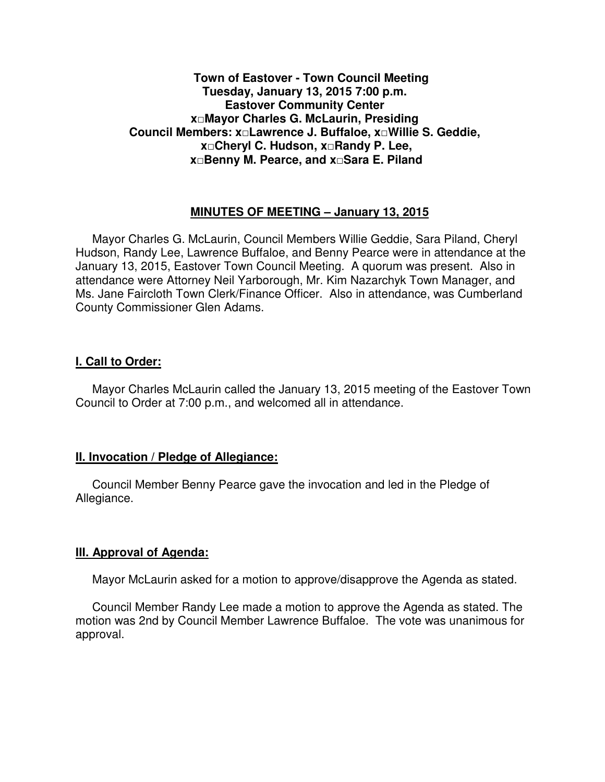### **Town of Eastover - Town Council Meeting Tuesday, January 13, 2015 7:00 p.m. Eastover Community Center x□Mayor Charles G. McLaurin, Presiding Council Members: x□Lawrence J. Buffaloe, x□Willie S. Geddie, x□Cheryl C. Hudson, x□Randy P. Lee, x□Benny M. Pearce, and x□Sara E. Piland**

### **MINUTES OF MEETING – January 13, 2015**

Mayor Charles G. McLaurin, Council Members Willie Geddie, Sara Piland, Cheryl Hudson, Randy Lee, Lawrence Buffaloe, and Benny Pearce were in attendance at the January 13, 2015, Eastover Town Council Meeting. A quorum was present. Also in attendance were Attorney Neil Yarborough, Mr. Kim Nazarchyk Town Manager, and Ms. Jane Faircloth Town Clerk/Finance Officer. Also in attendance, was Cumberland County Commissioner Glen Adams.

### **I. Call to Order:**

Mayor Charles McLaurin called the January 13, 2015 meeting of the Eastover Town Council to Order at 7:00 p.m., and welcomed all in attendance.

### **II. Invocation / Pledge of Allegiance:**

 Council Member Benny Pearce gave the invocation and led in the Pledge of Allegiance.

## **III. Approval of Agenda:**

Mayor McLaurin asked for a motion to approve/disapprove the Agenda as stated.

 Council Member Randy Lee made a motion to approve the Agenda as stated. The motion was 2nd by Council Member Lawrence Buffaloe. The vote was unanimous for approval.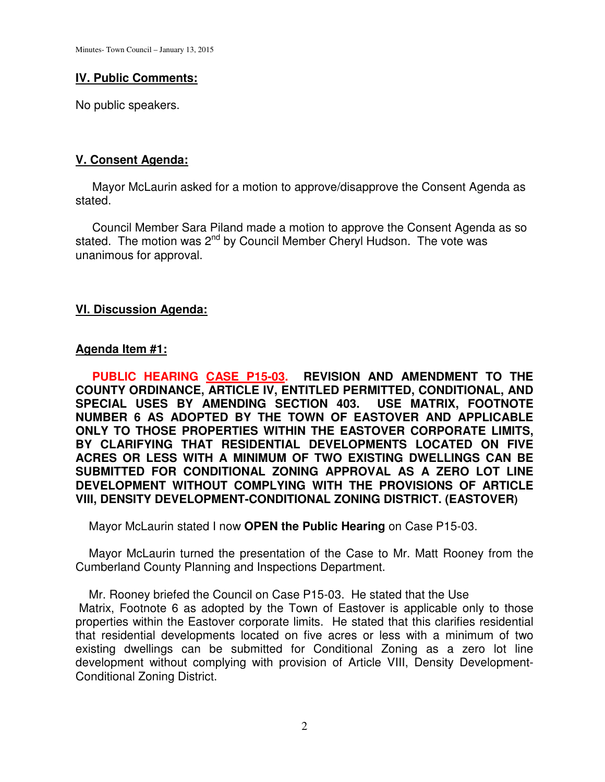## **IV. Public Comments:**

No public speakers.

# **V. Consent Agenda:**

 Mayor McLaurin asked for a motion to approve/disapprove the Consent Agenda as stated.

 Council Member Sara Piland made a motion to approve the Consent Agenda as so stated. The motion was 2<sup>nd</sup> by Council Member Cheryl Hudson. The vote was unanimous for approval.

# **VI. Discussion Agenda:**

# **Agenda Item #1:**

 **PUBLIC HEARING CASE P15-03. REVISION AND AMENDMENT TO THE COUNTY ORDINANCE, ARTICLE IV, ENTITLED PERMITTED, CONDITIONAL, AND SPECIAL USES BY AMENDING SECTION 403. USE MATRIX, FOOTNOTE NUMBER 6 AS ADOPTED BY THE TOWN OF EASTOVER AND APPLICABLE ONLY TO THOSE PROPERTIES WITHIN THE EASTOVER CORPORATE LIMITS, BY CLARIFYING THAT RESIDENTIAL DEVELOPMENTS LOCATED ON FIVE ACRES OR LESS WITH A MINIMUM OF TWO EXISTING DWELLINGS CAN BE SUBMITTED FOR CONDITIONAL ZONING APPROVAL AS A ZERO LOT LINE DEVELOPMENT WITHOUT COMPLYING WITH THE PROVISIONS OF ARTICLE VIII, DENSITY DEVELOPMENT-CONDITIONAL ZONING DISTRICT. (EASTOVER)** 

Mayor McLaurin stated I now **OPEN the Public Hearing** on Case P15-03.

 Mayor McLaurin turned the presentation of the Case to Mr. Matt Rooney from the Cumberland County Planning and Inspections Department.

 Mr. Rooney briefed the Council on Case P15-03. He stated that the Use Matrix, Footnote 6 as adopted by the Town of Eastover is applicable only to those properties within the Eastover corporate limits. He stated that this clarifies residential that residential developments located on five acres or less with a minimum of two existing dwellings can be submitted for Conditional Zoning as a zero lot line development without complying with provision of Article VIII, Density Development-Conditional Zoning District.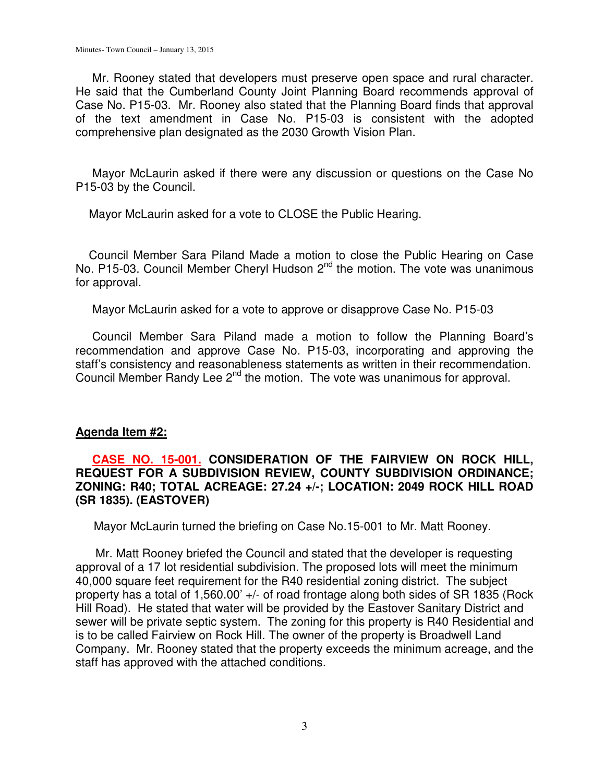Mr. Rooney stated that developers must preserve open space and rural character. He said that the Cumberland County Joint Planning Board recommends approval of Case No. P15-03. Mr. Rooney also stated that the Planning Board finds that approval of the text amendment in Case No. P15-03 is consistent with the adopted comprehensive plan designated as the 2030 Growth Vision Plan.

 Mayor McLaurin asked if there were any discussion or questions on the Case No P15-03 by the Council.

Mayor McLaurin asked for a vote to CLOSE the Public Hearing.

 Council Member Sara Piland Made a motion to close the Public Hearing on Case No. P15-03. Council Member Cheryl Hudson  $2^{nd}$  the motion. The vote was unanimous for approval.

Mayor McLaurin asked for a vote to approve or disapprove Case No. P15-03

 Council Member Sara Piland made a motion to follow the Planning Board's recommendation and approve Case No. P15-03, incorporating and approving the staff's consistency and reasonableness statements as written in their recommendation. Council Member Randy Lee 2<sup>nd</sup> the motion. The vote was unanimous for approval.

### **Agenda Item #2:**

### **CASE NO. 15-001. CONSIDERATION OF THE FAIRVIEW ON ROCK HILL, REQUEST FOR A SUBDIVISION REVIEW, COUNTY SUBDIVISION ORDINANCE; ZONING: R40; TOTAL ACREAGE: 27.24 +/-; LOCATION: 2049 ROCK HILL ROAD (SR 1835). (EASTOVER)**

Mayor McLaurin turned the briefing on Case No.15-001 to Mr. Matt Rooney.

 Mr. Matt Rooney briefed the Council and stated that the developer is requesting approval of a 17 lot residential subdivision. The proposed lots will meet the minimum 40,000 square feet requirement for the R40 residential zoning district. The subject property has a total of 1,560.00' +/- of road frontage along both sides of SR 1835 (Rock Hill Road). He stated that water will be provided by the Eastover Sanitary District and sewer will be private septic system. The zoning for this property is R40 Residential and is to be called Fairview on Rock Hill. The owner of the property is Broadwell Land Company. Mr. Rooney stated that the property exceeds the minimum acreage, and the staff has approved with the attached conditions.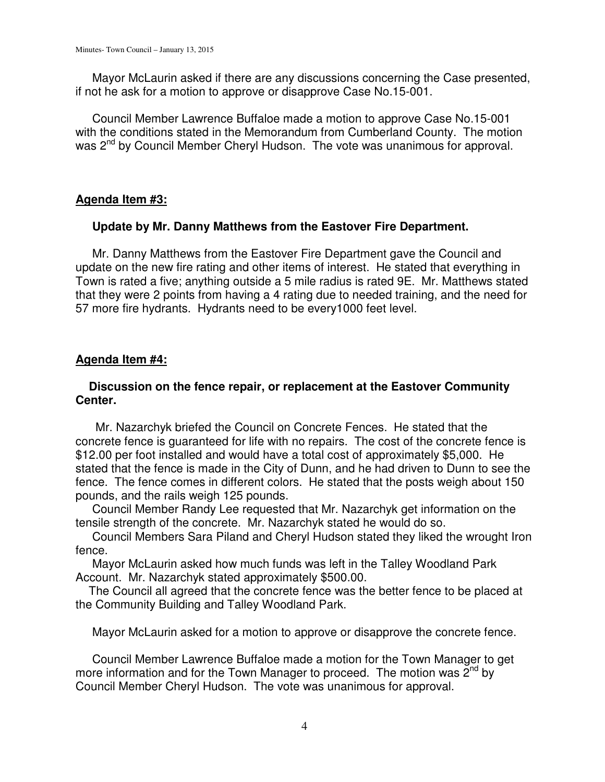Mayor McLaurin asked if there are any discussions concerning the Case presented, if not he ask for a motion to approve or disapprove Case No.15-001.

 Council Member Lawrence Buffaloe made a motion to approve Case No.15-001 with the conditions stated in the Memorandum from Cumberland County. The motion was 2<sup>nd</sup> by Council Member Cheryl Hudson. The vote was unanimous for approval.

# **Agenda Item #3:**

## **Update by Mr. Danny Matthews from the Eastover Fire Department.**

 Mr. Danny Matthews from the Eastover Fire Department gave the Council and update on the new fire rating and other items of interest. He stated that everything in Town is rated a five; anything outside a 5 mile radius is rated 9E. Mr. Matthews stated that they were 2 points from having a 4 rating due to needed training, and the need for 57 more fire hydrants. Hydrants need to be every1000 feet level.

## **Agenda Item #4:**

## **Discussion on the fence repair, or replacement at the Eastover Community Center.**

 Mr. Nazarchyk briefed the Council on Concrete Fences. He stated that the concrete fence is guaranteed for life with no repairs. The cost of the concrete fence is \$12.00 per foot installed and would have a total cost of approximately \$5,000. He stated that the fence is made in the City of Dunn, and he had driven to Dunn to see the fence. The fence comes in different colors. He stated that the posts weigh about 150 pounds, and the rails weigh 125 pounds.

 Council Member Randy Lee requested that Mr. Nazarchyk get information on the tensile strength of the concrete. Mr. Nazarchyk stated he would do so.

 Council Members Sara Piland and Cheryl Hudson stated they liked the wrought Iron fence.

 Mayor McLaurin asked how much funds was left in the Talley Woodland Park Account. Mr. Nazarchyk stated approximately \$500.00.

 The Council all agreed that the concrete fence was the better fence to be placed at the Community Building and Talley Woodland Park.

Mayor McLaurin asked for a motion to approve or disapprove the concrete fence.

 Council Member Lawrence Buffaloe made a motion for the Town Manager to get more information and for the Town Manager to proceed. The motion was  $2^{nd}$  by Council Member Cheryl Hudson. The vote was unanimous for approval.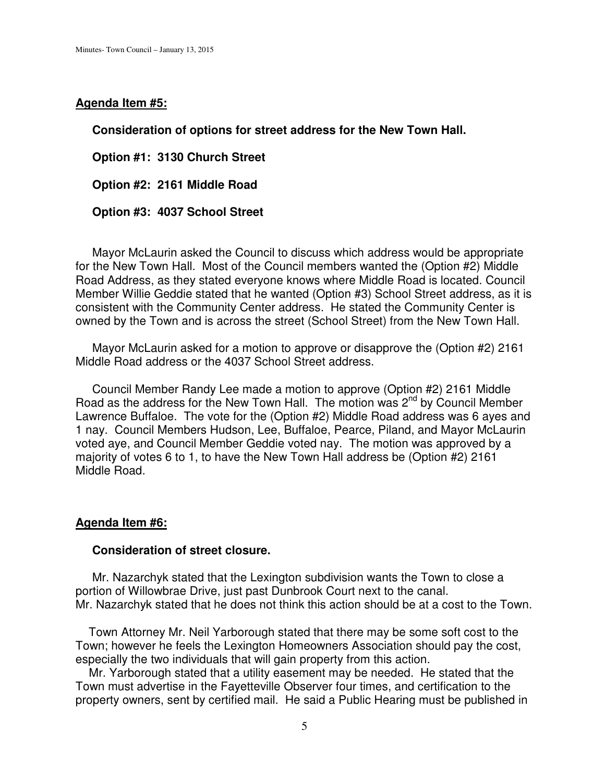#### **Agenda Item #5:**

**Consideration of options for street address for the New Town Hall.** 

 **Option #1: 3130 Church Street** 

 **Option #2: 2161 Middle Road** 

 **Option #3: 4037 School Street** 

 Mayor McLaurin asked the Council to discuss which address would be appropriate for the New Town Hall. Most of the Council members wanted the (Option #2) Middle Road Address, as they stated everyone knows where Middle Road is located. Council Member Willie Geddie stated that he wanted (Option #3) School Street address, as it is consistent with the Community Center address. He stated the Community Center is owned by the Town and is across the street (School Street) from the New Town Hall.

 Mayor McLaurin asked for a motion to approve or disapprove the (Option #2) 2161 Middle Road address or the 4037 School Street address.

 Council Member Randy Lee made a motion to approve (Option #2) 2161 Middle Road as the address for the New Town Hall. The motion was 2<sup>nd</sup> by Council Member Lawrence Buffaloe. The vote for the (Option #2) Middle Road address was 6 ayes and 1 nay. Council Members Hudson, Lee, Buffaloe, Pearce, Piland, and Mayor McLaurin voted aye, and Council Member Geddie voted nay. The motion was approved by a majority of votes 6 to 1, to have the New Town Hall address be (Option #2) 2161 Middle Road.

### **Agenda Item #6:**

#### **Consideration of street closure.**

 Mr. Nazarchyk stated that the Lexington subdivision wants the Town to close a portion of Willowbrae Drive, just past Dunbrook Court next to the canal. Mr. Nazarchyk stated that he does not think this action should be at a cost to the Town.

 Town Attorney Mr. Neil Yarborough stated that there may be some soft cost to the Town; however he feels the Lexington Homeowners Association should pay the cost, especially the two individuals that will gain property from this action.

 Mr. Yarborough stated that a utility easement may be needed. He stated that the Town must advertise in the Fayetteville Observer four times, and certification to the property owners, sent by certified mail. He said a Public Hearing must be published in